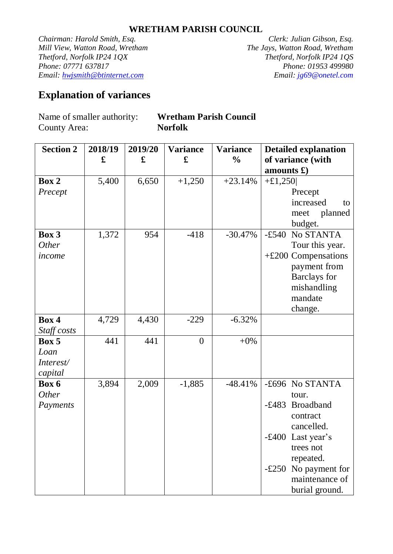## **WRETHAM PARISH COUNCIL**

*Chairman: Harold Smith, Esq. Clerk: Julian Gibson, Esq. Mill View, Watton Road, Wretham The Jays, Watton Road, Wretham Thetford, Norfolk IP24 1QX Thetford, Norfolk IP24 1QS Phone: 07771 637817 Email: hwjsmith@btinternet.com Email: jg69@onetel.com*

## **Explanation of variances**

County Area: **Norfolk**

Name of smaller authority: **Wretham Parish Council**

| <b>Section 2</b> | 2018/19<br>£ | 2019/20<br>£ | <b>Variance</b><br>£ | <b>Variance</b><br>$\frac{0}{0}$ | <b>Detailed explanation</b><br>of variance (with |  |  |
|------------------|--------------|--------------|----------------------|----------------------------------|--------------------------------------------------|--|--|
|                  |              |              |                      |                                  | amounts $\mathbf{\pounds})$                      |  |  |
| Box 2            | 5,400        | 6,650        | $+1,250$             | $+23.14%$                        | $+£1,250$                                        |  |  |
| Precept          |              |              |                      |                                  | Precept                                          |  |  |
|                  |              |              |                      |                                  | increased<br>to                                  |  |  |
|                  |              |              |                      |                                  | planned<br>meet                                  |  |  |
|                  |              |              |                      |                                  | budget.                                          |  |  |
| Box 3            | 1,372        | 954          | $-418$               | $-30.47%$                        | $-£540$<br>No STANTA                             |  |  |
| <b>Other</b>     |              |              |                      |                                  | Tour this year.                                  |  |  |
| income           |              |              |                      |                                  | $+£200$ Compensations                            |  |  |
|                  |              |              |                      |                                  | payment from                                     |  |  |
|                  |              |              |                      |                                  | <b>Barclays</b> for                              |  |  |
|                  |              |              |                      |                                  | mishandling                                      |  |  |
|                  |              |              |                      |                                  | mandate                                          |  |  |
|                  |              |              |                      |                                  | change.                                          |  |  |
| Box 4            | 4,729        | 4,430        | $-229$               | $-6.32%$                         |                                                  |  |  |
| Staff costs      |              |              |                      |                                  |                                                  |  |  |
| Box 5            | 441          | 441          | $\overline{0}$       | $+0\%$                           |                                                  |  |  |
| Loan             |              |              |                      |                                  |                                                  |  |  |
| Interest/        |              |              |                      |                                  |                                                  |  |  |
| capital          |              |              |                      |                                  |                                                  |  |  |
| Box 6            | 3,894        | 2,009        | $-1,885$             | $-48.41%$                        | -£696 No STANTA                                  |  |  |
| <i>Other</i>     |              |              |                      |                                  | tour.                                            |  |  |
| Payments         |              |              |                      |                                  | $-£483$<br><b>Broadband</b>                      |  |  |
|                  |              |              |                      |                                  | contract                                         |  |  |
|                  |              |              |                      |                                  | cancelled.                                       |  |  |
|                  |              |              |                      |                                  | -£400 Last year's                                |  |  |
|                  |              |              |                      |                                  | trees not                                        |  |  |
|                  |              |              |                      |                                  | repeated.                                        |  |  |
|                  |              |              |                      |                                  | No payment for<br>$-\pounds 250$                 |  |  |
|                  |              |              |                      |                                  | maintenance of                                   |  |  |
|                  |              |              |                      |                                  | burial ground.                                   |  |  |